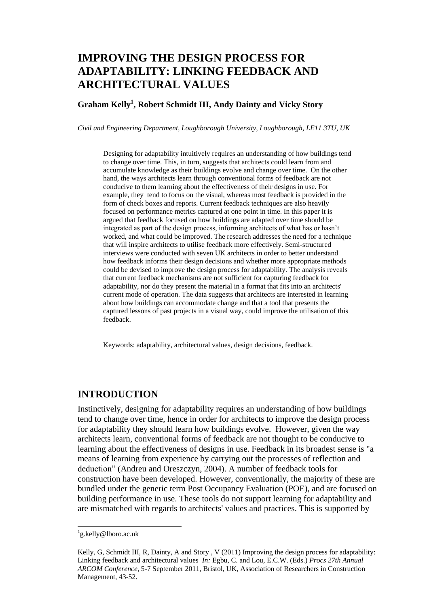# **IMPROVING THE DESIGN PROCESS FOR ADAPTABILITY: LINKING FEEDBACK AND ARCHITECTURAL VALUES**

## **Graham Kelly<sup>1</sup> , Robert Schmidt III, Andy Dainty and Vicky Story**

*Civil and Engineering Department, Loughborough University, Loughborough, LE11 3TU, UK*

Designing for adaptability intuitively requires an understanding of how buildings tend to change over time. This, in turn, suggests that architects could learn from and accumulate knowledge as their buildings evolve and change over time. On the other hand, the ways architects learn through conventional forms of feedback are not conducive to them learning about the effectiveness of their designs in use. For example, they tend to focus on the visual, whereas most feedback is provided in the form of check boxes and reports. Current feedback techniques are also heavily focused on performance metrics captured at one point in time. In this paper it is argued that feedback focused on how buildings are adapted over time should be integrated as part of the design process, informing architects of what has or hasn't worked, and what could be improved. The research addresses the need for a technique that will inspire architects to utilise feedback more effectively. Semi-structured interviews were conducted with seven UK architects in order to better understand how feedback informs their design decisions and whether more appropriate methods could be devised to improve the design process for adaptability. The analysis reveals that current feedback mechanisms are not sufficient for capturing feedback for adaptability, nor do they present the material in a format that fits into an architects' current mode of operation. The data suggests that architects are interested in learning about how buildings can accommodate change and that a tool that presents the captured lessons of past projects in a visual way, could improve the utilisation of this feedback.

Keywords: adaptability, architectural values, design decisions, feedback.

### **INTRODUCTION**

Instinctively, designing for adaptability requires an understanding of how buildings tend to change over time, hence in order for architects to improve the design process for adaptability they should learn how buildings evolve. However, given the way architects learn, conventional forms of feedback are not thought to be conducive to learning about the effectiveness of designs in use. Feedback in its broadest sense is "a means of learning from experience by carrying out the processes of reflection and deduction" (Andreu and Oreszczyn, 2004). A number of feedback tools for construction have been developed. However, conventionally, the majority of these are bundled under the generic term Post Occupancy Evaluation (POE), and are focused on building performance in use. These tools do not support learning for adaptability and are mismatched with regards to architects' values and practices. This is supported by

 $\overline{a}$ 

<sup>&</sup>lt;sup>1</sup>g.kelly@lboro.ac.uk

Kelly, G, Schmidt III, R, Dainty, A and Story , V (2011) Improving the design process for adaptability: Linking feedback and architectural values *In:* Egbu, C. and Lou, E.C.W. (Eds.) *Procs 27th Annual ARCOM Conference,* 5-7 September 2011, Bristol, UK, Association of Researchers in Construction Management, 43-52.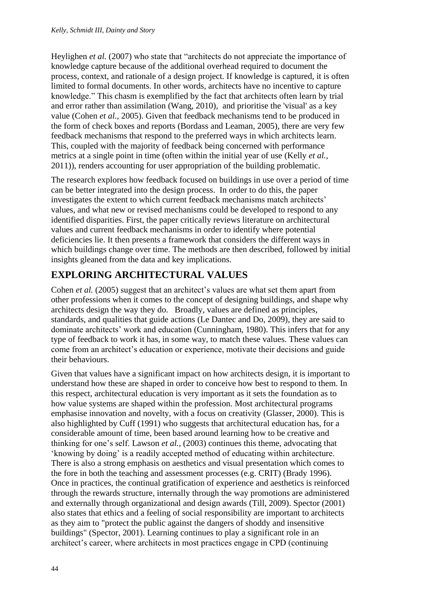Heylighen *et al.* (2007) who state that "architects do not appreciate the importance of knowledge capture because of the additional overhead required to document the process, context, and rationale of a design project. If knowledge is captured, it is often limited to formal documents. In other words, architects have no incentive to capture knowledge." This chasm is exemplified by the fact that architects often learn by trial and error rather than assimilation (Wang, 2010), and prioritise the 'visual' as a key value (Cohen *et al.,* 2005). Given that feedback mechanisms tend to be produced in the form of check boxes and reports (Bordass and Leaman, 2005), there are very few feedback mechanisms that respond to the preferred ways in which architects learn. This, coupled with the majority of feedback being concerned with performance metrics at a single point in time (often within the initial year of use (Kelly *et al.,* 2011)), renders accounting for user appropriation of the building problematic.

The research explores how feedback focused on buildings in use over a period of time can be better integrated into the design process. In order to do this, the paper investigates the extent to which current feedback mechanisms match architects' values, and what new or revised mechanisms could be developed to respond to any identified disparities. First, the paper critically reviews literature on architectural values and current feedback mechanisms in order to identify where potential deficiencies lie. It then presents a framework that considers the different ways in which buildings change over time. The methods are then described, followed by initial insights gleaned from the data and key implications.

# **EXPLORING ARCHITECTURAL VALUES**

Cohen *et al.* (2005) suggest that an architect's values are what set them apart from other professions when it comes to the concept of designing buildings, and shape why architects design the way they do. Broadly, values are defined as principles, standards, and qualities that guide actions (Le Dantec and Do, 2009), they are said to dominate architects' work and education (Cunningham, 1980). This infers that for any type of feedback to work it has, in some way, to match these values. These values can come from an architect's education or experience, motivate their decisions and guide their behaviours.

Given that values have a significant impact on how architects design, it is important to understand how these are shaped in order to conceive how best to respond to them. In this respect, architectural education is very important as it sets the foundation as to how value systems are shaped within the profession. Most architectural programs emphasise innovation and novelty, with a focus on creativity (Glasser, 2000). This is also highlighted by Cuff (1991) who suggests that architectural education has, for a considerable amount of time, been based around learning how to be creative and thinking for one's self. Lawson *et al.,* (2003) continues this theme, advocating that 'knowing by doing' is a readily accepted method of educating within architecture. There is also a strong emphasis on aesthetics and visual presentation which comes to the fore in both the teaching and assessment processes (e.g. CRIT) (Brady 1996). Once in practices, the continual gratification of experience and aesthetics is reinforced through the rewards structure, internally through the way promotions are administered and externally through organizational and design awards (Till, 2009). Spector (2001) also states that ethics and a feeling of social responsibility are important to architects as they aim to "protect the public against the dangers of shoddy and insensitive buildings" (Spector, 2001). Learning continues to play a significant role in an architect's career, where architects in most practices engage in CPD (continuing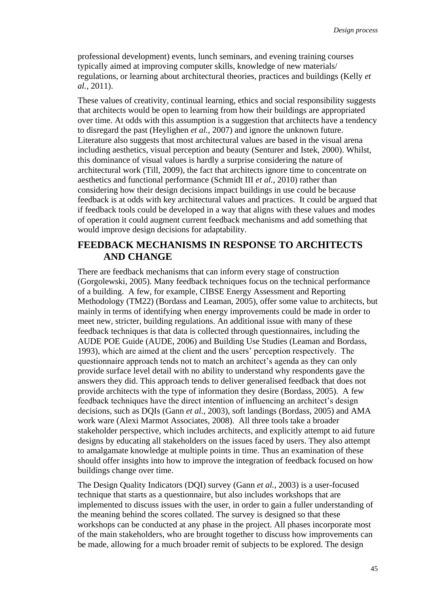professional development) events, lunch seminars, and evening training courses typically aimed at improving computer skills, knowledge of new materials/ regulations, or learning about architectural theories, practices and buildings (Kelly *et al.,* 2011).

These values of creativity, continual learning, ethics and social responsibility suggests that architects would be open to learning from how their buildings are appropriated over time. At odds with this assumption is a suggestion that architects have a tendency to disregard the past (Heylighen *et al.,* 2007) and ignore the unknown future. Literature also suggests that most architectural values are based in the visual arena including aesthetics, visual perception and beauty (Senturer and Istek, 2000). Whilst, this dominance of visual values is hardly a surprise considering the nature of architectural work (Till, 2009), the fact that architects ignore time to concentrate on aesthetics and functional performance (Schmidt III *et al.,* 2010) rather than considering how their design decisions impact buildings in use could be because feedback is at odds with key architectural values and practices. It could be argued that if feedback tools could be developed in a way that aligns with these values and modes of operation it could augment current feedback mechanisms and add something that would improve design decisions for adaptability.

# **FEEDBACK MECHANISMS IN RESPONSE TO ARCHITECTS AND CHANGE**

There are feedback mechanisms that can inform every stage of construction (Gorgolewski, 2005). Many feedback techniques focus on the technical performance of a building. A few, for example, CIBSE Energy Assessment and Reporting Methodology (TM22) (Bordass and Leaman, 2005), offer some value to architects, but mainly in terms of identifying when energy improvements could be made in order to meet new, stricter, building regulations. An additional issue with many of these feedback techniques is that data is collected through questionnaires, including the AUDE POE Guide (AUDE, 2006) and Building Use Studies (Leaman and Bordass, 1993), which are aimed at the client and the users' perception respectively. The questionnaire approach tends not to match an architect's agenda as they can only provide surface level detail with no ability to understand why respondents gave the answers they did. This approach tends to deliver generalised feedback that does not provide architects with the type of information they desire (Bordass, 2005). A few feedback techniques have the direct intention of influencing an architect's design decisions, such as DQIs (Gann *et al.,* 2003), soft landings (Bordass, 2005) and AMA work ware (Alexi Marmot Associates, 2008). All three tools take a broader stakeholder perspective, which includes architects, and explicitly attempt to aid future designs by educating all stakeholders on the issues faced by users. They also attempt to amalgamate knowledge at multiple points in time. Thus an examination of these should offer insights into how to improve the integration of feedback focused on how buildings change over time.

The Design Quality Indicators (DQI) survey (Gann *et al.,* 2003) is a user-focused technique that starts as a questionnaire, but also includes workshops that are implemented to discuss issues with the user, in order to gain a fuller understanding of the meaning behind the scores collated. The survey is designed so that these workshops can be conducted at any phase in the project. All phases incorporate most of the main stakeholders, who are brought together to discuss how improvements can be made, allowing for a much broader remit of subjects to be explored. The design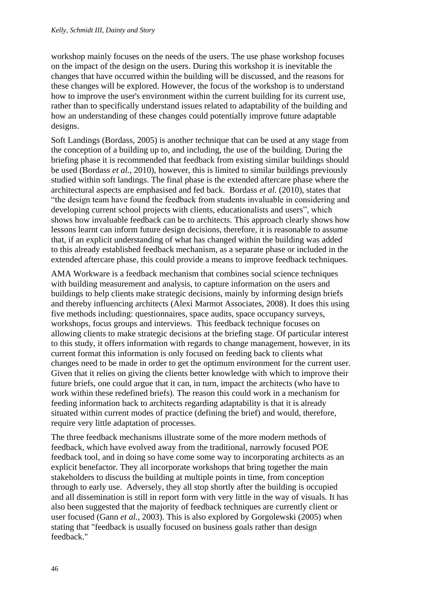workshop mainly focuses on the needs of the users. The use phase workshop focuses on the impact of the design on the users. During this workshop it is inevitable the changes that have occurred within the building will be discussed, and the reasons for these changes will be explored. However, the focus of the workshop is to understand how to improve the user's environment within the current building for its current use, rather than to specifically understand issues related to adaptability of the building and how an understanding of these changes could potentially improve future adaptable designs.

Soft Landings (Bordass, 2005) is another technique that can be used at any stage from the conception of a building up to, and including, the use of the building. During the briefing phase it is recommended that feedback from existing similar buildings should be used (Bordass *et al.,* 2010), however, this is limited to similar buildings previously studied within soft landings. The final phase is the extended aftercare phase where the architectural aspects are emphasised and fed back. Bordass *et al.* (2010), states that "the design team have found the feedback from students invaluable in considering and developing current school projects with clients, educationalists and users", which shows how invaluable feedback can be to architects. This approach clearly shows how lessons learnt can inform future design decisions, therefore, it is reasonable to assume that, if an explicit understanding of what has changed within the building was added to this already established feedback mechanism, as a separate phase or included in the extended aftercare phase, this could provide a means to improve feedback techniques.

AMA Workware is a feedback mechanism that combines social science techniques with building measurement and analysis, to capture information on the users and buildings to help clients make strategic decisions, mainly by informing design briefs and thereby influencing architects (Alexi Marmot Associates, 2008). It does this using five methods including: questionnaires, space audits, space occupancy surveys, workshops, focus groups and interviews. This feedback technique focuses on allowing clients to make strategic decisions at the briefing stage. Of particular interest to this study, it offers information with regards to change management, however, in its current format this information is only focused on feeding back to clients what changes need to be made in order to get the optimum environment for the current user. Given that it relies on giving the clients better knowledge with which to improve their future briefs, one could argue that it can, in turn, impact the architects (who have to work within these redefined briefs). The reason this could work in a mechanism for feeding information back to architects regarding adaptability is that it is already situated within current modes of practice (defining the brief) and would, therefore, require very little adaptation of processes.

The three feedback mechanisms illustrate some of the more modern methods of feedback, which have evolved away from the traditional, narrowly focused POE feedback tool, and in doing so have come some way to incorporating architects as an explicit benefactor. They all incorporate workshops that bring together the main stakeholders to discuss the building at multiple points in time, from conception through to early use. Adversely, they all stop shortly after the building is occupied and all dissemination is still in report form with very little in the way of visuals. It has also been suggested that the majority of feedback techniques are currently client or user focused (Gann *et al.,* 2003). This is also explored by Gorgolewski (2005) when stating that "feedback is usually focused on business goals rather than design feedback."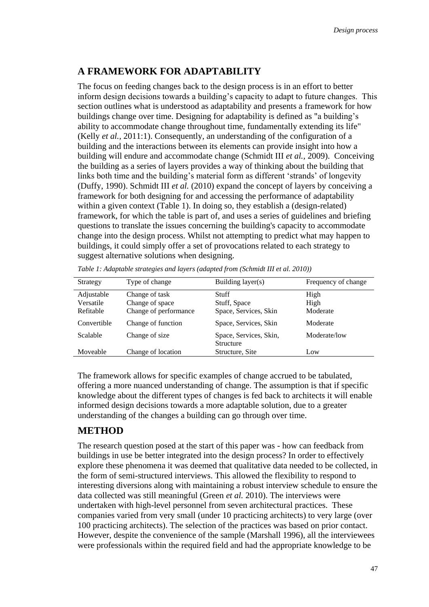# **A FRAMEWORK FOR ADAPTABILITY**

The focus on feeding changes back to the design process is in an effort to better inform design decisions towards a building's capacity to adapt to future changes. This section outlines what is understood as adaptability and presents a framework for how buildings change over time. Designing for adaptability is defined as "a building's ability to accommodate change throughout time, fundamentally extending its life" (Kelly *et al.,* 2011:1). Consequently, an understanding of the configuration of a building and the interactions between its elements can provide insight into how a building will endure and accommodate change (Schmidt III *et al.,* 2009). Conceiving the building as a series of layers provides a way of thinking about the building that links both time and the building's material form as different 'strands' of longevity (Duffy, 1990). Schmidt III *et al.* (2010) expand the concept of layers by conceiving a framework for both designing for and accessing the performance of adaptability within a given context (Table 1). In doing so, they establish a (design-related) framework, for which the table is part of, and uses a series of guidelines and briefing questions to translate the issues concerning the building's capacity to accommodate change into the design process. Whilst not attempting to predict what may happen to buildings, it could simply offer a set of provocations related to each strategy to suggest alternative solutions when designing.

| Strategy                             | Type of change                                             | Building layer(s)                              | Frequency of change      |
|--------------------------------------|------------------------------------------------------------|------------------------------------------------|--------------------------|
| Adjustable<br>Versatile<br>Refitable | Change of task<br>Change of space<br>Change of performance | Stuff<br>Stuff, Space<br>Space, Services, Skin | High<br>High<br>Moderate |
| Convertible                          | Change of function                                         | Space, Services, Skin                          | Moderate                 |
| <b>Scalable</b>                      | Change of size                                             | Space, Services, Skin,<br><b>Structure</b>     | Moderate/low             |
| Moveable                             | Change of location                                         | Structure, Site                                | Low                      |

*Table 1: Adaptable strategies and layers (adapted from (Schmidt III et al. 2010))*

The framework allows for specific examples of change accrued to be tabulated, offering a more nuanced understanding of change. The assumption is that if specific knowledge about the different types of changes is fed back to architects it will enable informed design decisions towards a more adaptable solution, due to a greater understanding of the changes a building can go through over time.

# **METHOD**

The research question posed at the start of this paper was - how can feedback from buildings in use be better integrated into the design process? In order to effectively explore these phenomena it was deemed that qualitative data needed to be collected, in the form of semi-structured interviews. This allowed the flexibility to respond to interesting diversions along with maintaining a robust interview schedule to ensure the data collected was still meaningful (Green *et al.* 2010). The interviews were undertaken with high-level personnel from seven architectural practices. These companies varied from very small (under 10 practicing architects) to very large (over 100 practicing architects). The selection of the practices was based on prior contact. However, despite the convenience of the sample (Marshall 1996), all the interviewees were professionals within the required field and had the appropriate knowledge to be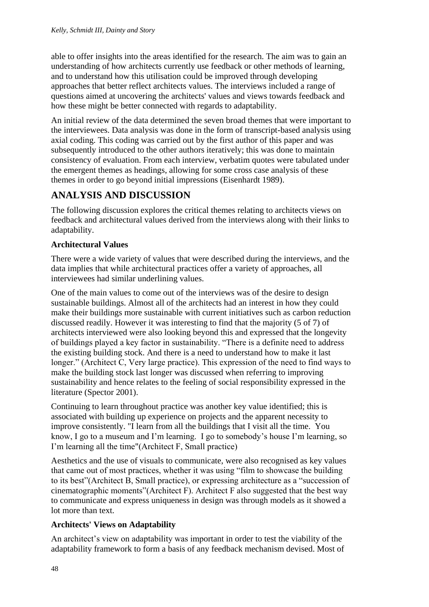able to offer insights into the areas identified for the research. The aim was to gain an understanding of how architects currently use feedback or other methods of learning, and to understand how this utilisation could be improved through developing approaches that better reflect architects values. The interviews included a range of questions aimed at uncovering the architects' values and views towards feedback and how these might be better connected with regards to adaptability.

An initial review of the data determined the seven broad themes that were important to the interviewees. Data analysis was done in the form of transcript-based analysis using axial coding. This coding was carried out by the first author of this paper and was subsequently introduced to the other authors iteratively; this was done to maintain consistency of evaluation. From each interview, verbatim quotes were tabulated under the emergent themes as headings, allowing for some cross case analysis of these themes in order to go beyond initial impressions (Eisenhardt 1989).

# **ANALYSIS AND DISCUSSION**

The following discussion explores the critical themes relating to architects views on feedback and architectural values derived from the interviews along with their links to adaptability.

# **Architectural Values**

There were a wide variety of values that were described during the interviews, and the data implies that while architectural practices offer a variety of approaches, all interviewees had similar underlining values.

One of the main values to come out of the interviews was of the desire to design sustainable buildings. Almost all of the architects had an interest in how they could make their buildings more sustainable with current initiatives such as carbon reduction discussed readily. However it was interesting to find that the majority (5 of 7) of architects interviewed were also looking beyond this and expressed that the longevity of buildings played a key factor in sustainability. "There is a definite need to address the existing building stock. And there is a need to understand how to make it last longer." (Architect C, Very large practice). This expression of the need to find ways to make the building stock last longer was discussed when referring to improving sustainability and hence relates to the feeling of social responsibility expressed in the literature (Spector 2001).

Continuing to learn throughout practice was another key value identified; this is associated with building up experience on projects and the apparent necessity to improve consistently. "I learn from all the buildings that I visit all the time. You know, I go to a museum and I'm learning. I go to somebody's house I'm learning, so I'm learning all the time"(Architect F, Small practice)

Aesthetics and the use of visuals to communicate, were also recognised as key values that came out of most practices, whether it was using "film to showcase the building to its best"(Architect B, Small practice), or expressing architecture as a "succession of cinematographic moments"(Architect F). Architect F also suggested that the best way to communicate and express uniqueness in design was through models as it showed a lot more than text.

# **Architects' Views on Adaptability**

An architect's view on adaptability was important in order to test the viability of the adaptability framework to form a basis of any feedback mechanism devised. Most of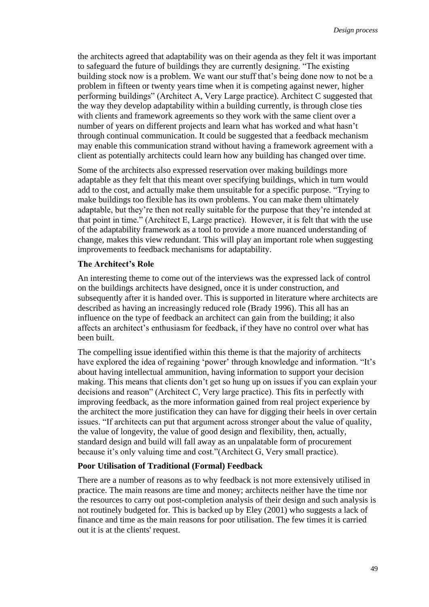the architects agreed that adaptability was on their agenda as they felt it was important to safeguard the future of buildings they are currently designing. "The existing building stock now is a problem. We want our stuff that's being done now to not be a problem in fifteen or twenty years time when it is competing against newer, higher performing buildings" (Architect A, Very Large practice). Architect C suggested that the way they develop adaptability within a building currently, is through close ties with clients and framework agreements so they work with the same client over a number of years on different projects and learn what has worked and what hasn't through continual communication. It could be suggested that a feedback mechanism may enable this communication strand without having a framework agreement with a client as potentially architects could learn how any building has changed over time.

Some of the architects also expressed reservation over making buildings more adaptable as they felt that this meant over specifying buildings, which in turn would add to the cost, and actually make them unsuitable for a specific purpose. "Trying to make buildings too flexible has its own problems. You can make them ultimately adaptable, but they're then not really suitable for the purpose that they're intended at that point in time." (Architect E, Large practice). However, it is felt that with the use of the adaptability framework as a tool to provide a more nuanced understanding of change, makes this view redundant. This will play an important role when suggesting improvements to feedback mechanisms for adaptability.

#### **The Architect's Role**

An interesting theme to come out of the interviews was the expressed lack of control on the buildings architects have designed, once it is under construction, and subsequently after it is handed over. This is supported in literature where architects are described as having an increasingly reduced role (Brady 1996). This all has an influence on the type of feedback an architect can gain from the building; it also affects an architect's enthusiasm for feedback, if they have no control over what has been built.

The compelling issue identified within this theme is that the majority of architects have explored the idea of regaining 'power' through knowledge and information. "It's about having intellectual ammunition, having information to support your decision making. This means that clients don't get so hung up on issues if you can explain your decisions and reason" (Architect C, Very large practice). This fits in perfectly with improving feedback, as the more information gained from real project experience by the architect the more justification they can have for digging their heels in over certain issues. "If architects can put that argument across stronger about the value of quality, the value of longevity, the value of good design and flexibility, then, actually, standard design and build will fall away as an unpalatable form of procurement because it's only valuing time and cost."(Architect G, Very small practice).

#### **Poor Utilisation of Traditional (Formal) Feedback**

There are a number of reasons as to why feedback is not more extensively utilised in practice. The main reasons are time and money; architects neither have the time nor the resources to carry out post-completion analysis of their design and such analysis is not routinely budgeted for. This is backed up by Eley (2001) who suggests a lack of finance and time as the main reasons for poor utilisation. The few times it is carried out it is at the clients' request.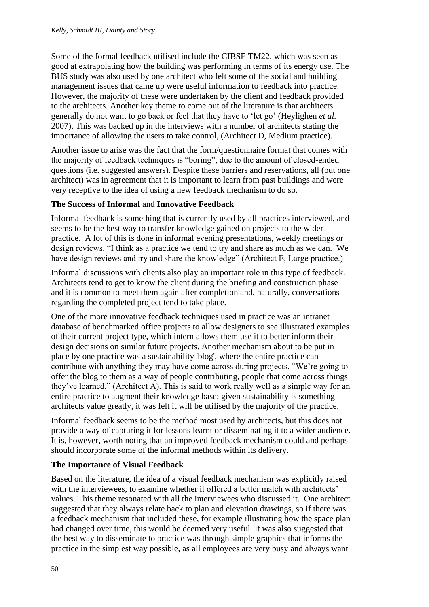Some of the formal feedback utilised include the CIBSE TM22, which was seen as good at extrapolating how the building was performing in terms of its energy use. The BUS study was also used by one architect who felt some of the social and building management issues that came up were useful information to feedback into practice. However, the majority of these were undertaken by the client and feedback provided to the architects. Another key theme to come out of the literature is that architects generally do not want to go back or feel that they have to 'let go' (Heylighen *et al.* 2007). This was backed up in the interviews with a number of architects stating the importance of allowing the users to take control, (Architect D, Medium practice).

Another issue to arise was the fact that the form/questionnaire format that comes with the majority of feedback techniques is "boring", due to the amount of closed-ended questions (i.e. suggested answers). Despite these barriers and reservations, all (but one architect) was in agreement that it is important to learn from past buildings and were very receptive to the idea of using a new feedback mechanism to do so.

## **The Success of Informal** and **Innovative Feedback**

Informal feedback is something that is currently used by all practices interviewed, and seems to be the best way to transfer knowledge gained on projects to the wider practice. A lot of this is done in informal evening presentations, weekly meetings or design reviews. "I think as a practice we tend to try and share as much as we can. We have design reviews and try and share the knowledge" (Architect E, Large practice.)

Informal discussions with clients also play an important role in this type of feedback. Architects tend to get to know the client during the briefing and construction phase and it is common to meet them again after completion and, naturally, conversations regarding the completed project tend to take place.

One of the more innovative feedback techniques used in practice was an intranet database of benchmarked office projects to allow designers to see illustrated examples of their current project type, which intern allows them use it to better inform their design decisions on similar future projects. Another mechanism about to be put in place by one practice was a sustainability 'blog', where the entire practice can contribute with anything they may have come across during projects, "We're going to offer the blog to them as a way of people contributing, people that come across things they've learned." (Architect A). This is said to work really well as a simple way for an entire practice to augment their knowledge base; given sustainability is something architects value greatly, it was felt it will be utilised by the majority of the practice.

Informal feedback seems to be the method most used by architects, but this does not provide a way of capturing it for lessons learnt or disseminating it to a wider audience. It is, however, worth noting that an improved feedback mechanism could and perhaps should incorporate some of the informal methods within its delivery.

### **The Importance of Visual Feedback**

Based on the literature, the idea of a visual feedback mechanism was explicitly raised with the interviewees, to examine whether it offered a better match with architects' values. This theme resonated with all the interviewees who discussed it. One architect suggested that they always relate back to plan and elevation drawings, so if there was a feedback mechanism that included these, for example illustrating how the space plan had changed over time, this would be deemed very useful. It was also suggested that the best way to disseminate to practice was through simple graphics that informs the practice in the simplest way possible, as all employees are very busy and always want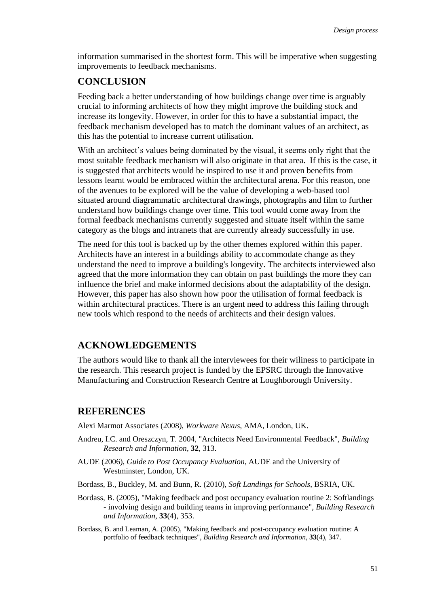information summarised in the shortest form. This will be imperative when suggesting improvements to feedback mechanisms.

#### **CONCLUSION**

Feeding back a better understanding of how buildings change over time is arguably crucial to informing architects of how they might improve the building stock and increase its longevity. However, in order for this to have a substantial impact, the feedback mechanism developed has to match the dominant values of an architect, as this has the potential to increase current utilisation.

With an architect's values being dominated by the visual, it seems only right that the most suitable feedback mechanism will also originate in that area. If this is the case, it is suggested that architects would be inspired to use it and proven benefits from lessons learnt would be embraced within the architectural arena. For this reason, one of the avenues to be explored will be the value of developing a web-based tool situated around diagrammatic architectural drawings, photographs and film to further understand how buildings change over time. This tool would come away from the formal feedback mechanisms currently suggested and situate itself within the same category as the blogs and intranets that are currently already successfully in use.

The need for this tool is backed up by the other themes explored within this paper. Architects have an interest in a buildings ability to accommodate change as they understand the need to improve a building's longevity. The architects interviewed also agreed that the more information they can obtain on past buildings the more they can influence the brief and make informed decisions about the adaptability of the design. However, this paper has also shown how poor the utilisation of formal feedback is within architectural practices. There is an urgent need to address this failing through new tools which respond to the needs of architects and their design values.

## **ACKNOWLEDGEMENTS**

The authors would like to thank all the interviewees for their wiliness to participate in the research. This research project is funded by the EPSRC through the Innovative Manufacturing and Construction Research Centre at Loughborough University.

#### **REFERENCES**

Alexi Marmot Associates (2008), *Workware Nexus*, AMA, London, UK.

- Andreu, I.C. and Oreszczyn, T. 2004, "Architects Need Environmental Feedback", *Building Research and Information*, **32**, 313.
- AUDE (2006), *Guide to Post Occupancy Evaluation*, AUDE and the University of Westminster, London, UK.
- Bordass, B., Buckley, M. and Bunn, R. (2010), *Soft Landings for Schools*, BSRIA, UK.
- Bordass, B. (2005), "Making feedback and post occupancy evaluation routine 2: Softlandings - involving design and building teams in improving performance", *Building Research and Information*, **33**(4), 353.
- Bordass, B. and Leaman, A. (2005), "Making feedback and post-occupancy evaluation routine: A portfolio of feedback techniques", *Building Research and Information*, **33**(4), 347.